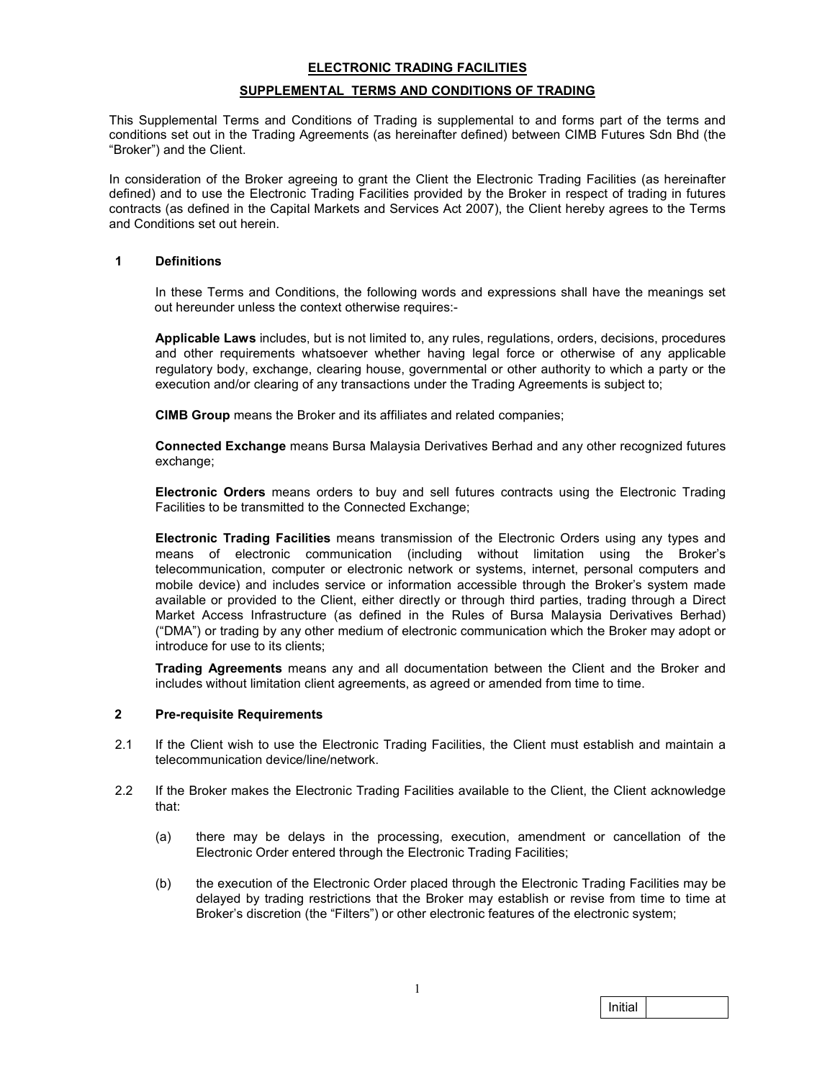# ELECTRONIC TRADING FACILITIES SUPPLEMENTAL TERMS AND CONDITIONS OF TRADING

This Supplemental Terms and Conditions of Trading is supplemental to and forms part of the terms and conditions set out in the Trading Agreements (as hereinafter defined) between CIMB Futures Sdn Bhd (the "Broker") and the Client.

In consideration of the Broker agreeing to grant the Client the Electronic Trading Facilities (as hereinafter defined) and to use the Electronic Trading Facilities provided by the Broker in respect of trading in futures contracts (as defined in the Capital Markets and Services Act 2007), the Client hereby agrees to the Terms and Conditions set out herein.

## 1 Definitions

In these Terms and Conditions, the following words and expressions shall have the meanings set out hereunder unless the context otherwise requires:-

Applicable Laws includes, but is not limited to, any rules, regulations, orders, decisions, procedures and other requirements whatsoever whether having legal force or otherwise of any applicable regulatory body, exchange, clearing house, governmental or other authority to which a party or the execution and/or clearing of any transactions under the Trading Agreements is subject to;

CIMB Group means the Broker and its affiliates and related companies;

Connected Exchange means Bursa Malaysia Derivatives Berhad and any other recognized futures exchange;

Electronic Orders means orders to buy and sell futures contracts using the Electronic Trading Facilities to be transmitted to the Connected Exchange;

Electronic Trading Facilities means transmission of the Electronic Orders using any types and means of electronic communication (including without limitation using the Broker's telecommunication, computer or electronic network or systems, internet, personal computers and mobile device) and includes service or information accessible through the Broker's system made available or provided to the Client, either directly or through third parties, trading through a Direct Market Access Infrastructure (as defined in the Rules of Bursa Malaysia Derivatives Berhad) ("DMA") or trading by any other medium of electronic communication which the Broker may adopt or introduce for use to its clients;

Trading Agreements means any and all documentation between the Client and the Broker and includes without limitation client agreements, as agreed or amended from time to time.

#### 2 Pre-requisite Requirements

- 2.1 If the Client wish to use the Electronic Trading Facilities, the Client must establish and maintain a telecommunication device/line/network.
- 2.2 If the Broker makes the Electronic Trading Facilities available to the Client, the Client acknowledge that:
	- (a) there may be delays in the processing, execution, amendment or cancellation of the Electronic Order entered through the Electronic Trading Facilities;
	- (b) the execution of the Electronic Order placed through the Electronic Trading Facilities may be delayed by trading restrictions that the Broker may establish or revise from time to time at Broker's discretion (the "Filters") or other electronic features of the electronic system;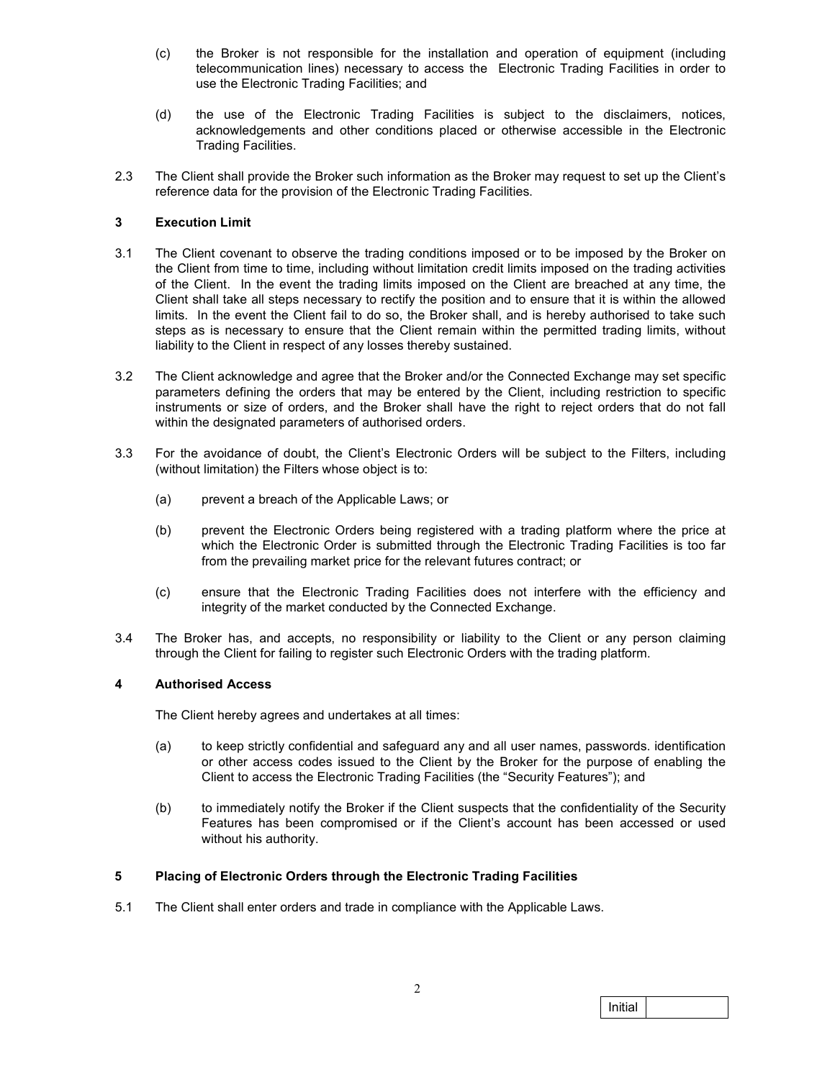- (c) the Broker is not responsible for the installation and operation of equipment (including telecommunication lines) necessary to access the Electronic Trading Facilities in order to use the Electronic Trading Facilities; and
- (d) the use of the Electronic Trading Facilities is subject to the disclaimers, notices, acknowledgements and other conditions placed or otherwise accessible in the Electronic Trading Facilities.
- 2.3 The Client shall provide the Broker such information as the Broker may request to set up the Client's reference data for the provision of the Electronic Trading Facilities.

## 3 Execution Limit

- 3.1 The Client covenant to observe the trading conditions imposed or to be imposed by the Broker on the Client from time to time, including without limitation credit limits imposed on the trading activities of the Client. In the event the trading limits imposed on the Client are breached at any time, the Client shall take all steps necessary to rectify the position and to ensure that it is within the allowed limits. In the event the Client fail to do so, the Broker shall, and is hereby authorised to take such steps as is necessary to ensure that the Client remain within the permitted trading limits, without liability to the Client in respect of any losses thereby sustained.
- 3.2 The Client acknowledge and agree that the Broker and/or the Connected Exchange may set specific parameters defining the orders that may be entered by the Client, including restriction to specific instruments or size of orders, and the Broker shall have the right to reject orders that do not fall within the designated parameters of authorised orders.
- 3.3 For the avoidance of doubt, the Client's Electronic Orders will be subject to the Filters, including (without limitation) the Filters whose object is to:
	- (a) prevent a breach of the Applicable Laws; or
	- (b) prevent the Electronic Orders being registered with a trading platform where the price at which the Electronic Order is submitted through the Electronic Trading Facilities is too far from the prevailing market price for the relevant futures contract; or
	- (c) ensure that the Electronic Trading Facilities does not interfere with the efficiency and integrity of the market conducted by the Connected Exchange.
- 3.4 The Broker has, and accepts, no responsibility or liability to the Client or any person claiming through the Client for failing to register such Electronic Orders with the trading platform.

## 4 Authorised Access

The Client hereby agrees and undertakes at all times:

- (a) to keep strictly confidential and safeguard any and all user names, passwords. identification or other access codes issued to the Client by the Broker for the purpose of enabling the Client to access the Electronic Trading Facilities (the "Security Features"); and
- (b) to immediately notify the Broker if the Client suspects that the confidentiality of the Security Features has been compromised or if the Client's account has been accessed or used without his authority.

## 5 Placing of Electronic Orders through the Electronic Trading Facilities

5.1 The Client shall enter orders and trade in compliance with the Applicable Laws.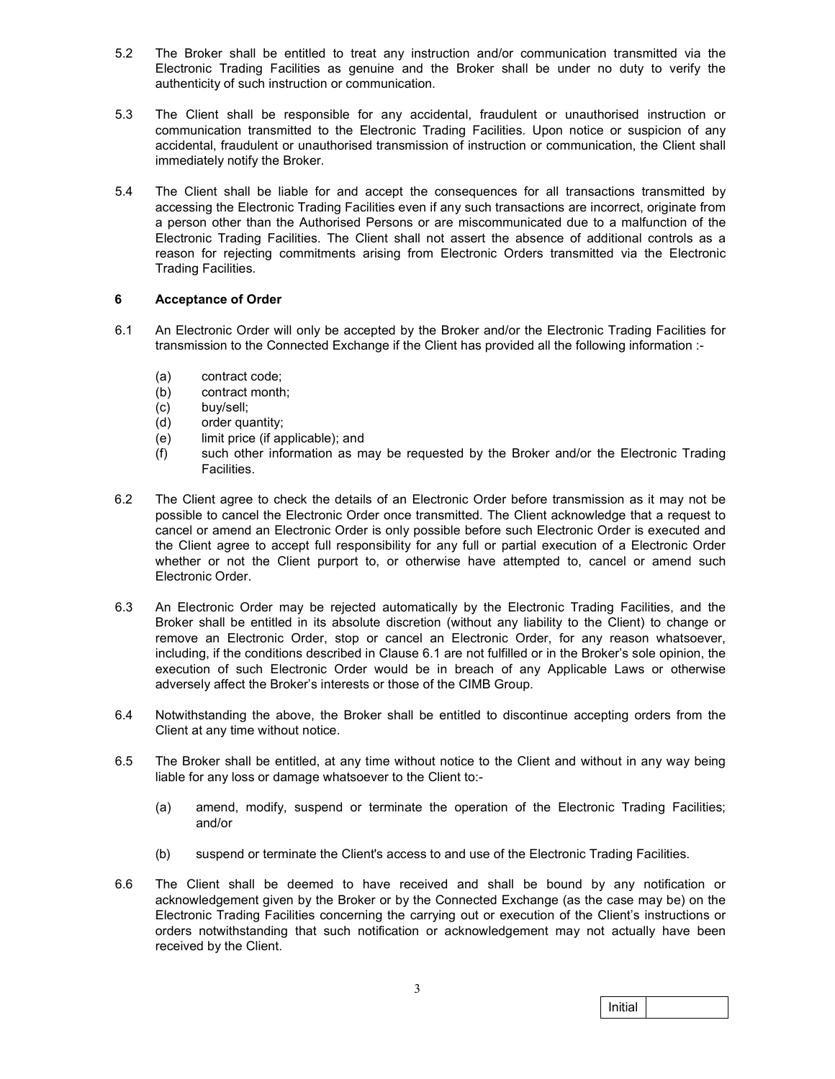- 5.2 The Broker shall be entitled to treat any instruction and/or communication transmitted via the Electronic Trading Facilities as genuine and the Broker shall be under no duty to verify the authenticity of such instruction or communication.
- 5.3 The Client shall be responsible for any accidental, fraudulent or unauthorised instruction or communication transmitted to the Electronic Trading Facilities. Upon notice or suspicion of any accidental, fraudulent or unauthorised transmission of instruction or communication, the Client shall immediately notify the Broker.
- 5.4 The Client shall be liable for and accept the consequences for all transactions transmitted by accessing the Electronic Trading Facilities even if any such transactions are incorrect, originate from a person other than the Authorised Persons or are miscommunicated due to a malfunction of the Electronic Trading Facilities. The Client shall not assert the absence of additional controls as a reason for rejecting commitments arising from Electronic Orders transmitted via the Electronic Trading Facilities.

## 6 Acceptance of Order

- 6.1 An Electronic Order will only be accepted by the Broker and/or the Electronic Trading Facilities for transmission to the Connected Exchange if the Client has provided all the following information :-
	- (a) contract code;
	- (b) contract month;
	- (c) buy/sell;
	- (d) order quantity;
	- (e) limit price (if applicable); and
	- (f) such other information as may be requested by the Broker and/or the Electronic Trading Facilities.
- 6.2 The Client agree to check the details of an Electronic Order before transmission as it may not be possible to cancel the Electronic Order once transmitted. The Client acknowledge that a request to cancel or amend an Electronic Order is only possible before such Electronic Order is executed and the Client agree to accept full responsibility for any full or partial execution of a Electronic Order whether or not the Client purport to, or otherwise have attempted to, cancel or amend such Electronic Order.
- 6.3 An Electronic Order may be rejected automatically by the Electronic Trading Facilities, and the Broker shall be entitled in its absolute discretion (without any liability to the Client) to change or remove an Electronic Order, stop or cancel an Electronic Order, for any reason whatsoever, including, if the conditions described in Clause 6.1 are not fulfilled or in the Broker's sole opinion, the execution of such Electronic Order would be in breach of any Applicable Laws or otherwise adversely affect the Broker's interests or those of the CIMB Group.
- 6.4 Notwithstanding the above, the Broker shall be entitled to discontinue accepting orders from the Client at any time without notice.
- 6.5 The Broker shall be entitled, at any time without notice to the Client and without in any way being liable for any loss or damage whatsoever to the Client to:-
	- (a) amend, modify, suspend or terminate the operation of the Electronic Trading Facilities; and/or
	- (b) suspend or terminate the Client's access to and use of the Electronic Trading Facilities.
- 6.6 The Client shall be deemed to have received and shall be bound by any notification or acknowledgement given by the Broker or by the Connected Exchange (as the case may be) on the Electronic Trading Facilities concerning the carrying out or execution of the Client's instructions or orders notwithstanding that such notification or acknowledgement may not actually have been received by the Client.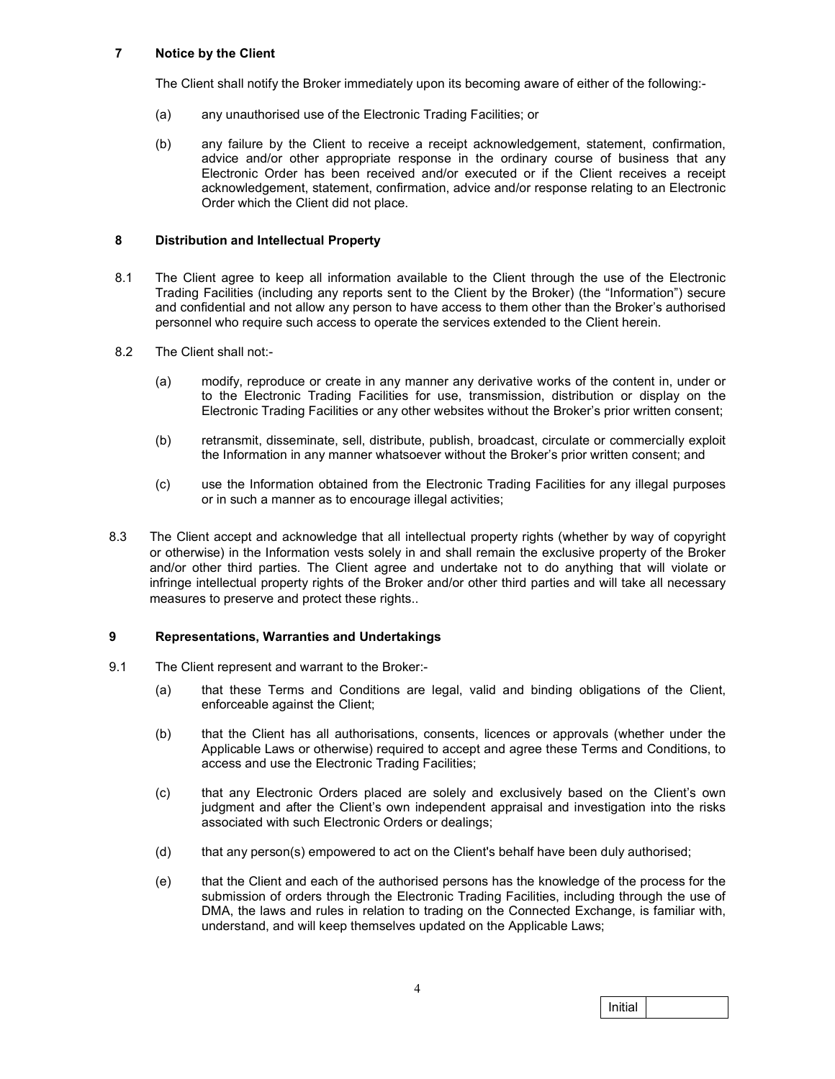## 7 Notice by the Client

The Client shall notify the Broker immediately upon its becoming aware of either of the following:-

- (a) any unauthorised use of the Electronic Trading Facilities; or
- (b) any failure by the Client to receive a receipt acknowledgement, statement, confirmation, advice and/or other appropriate response in the ordinary course of business that any Electronic Order has been received and/or executed or if the Client receives a receipt acknowledgement, statement, confirmation, advice and/or response relating to an Electronic Order which the Client did not place.

## 8 Distribution and Intellectual Property

- 8.1 The Client agree to keep all information available to the Client through the use of the Electronic Trading Facilities (including any reports sent to the Client by the Broker) (the "Information") secure and confidential and not allow any person to have access to them other than the Broker's authorised personnel who require such access to operate the services extended to the Client herein.
- 8.2 The Client shall not:-
	- (a) modify, reproduce or create in any manner any derivative works of the content in, under or to the Electronic Trading Facilities for use, transmission, distribution or display on the Electronic Trading Facilities or any other websites without the Broker's prior written consent;
	- (b) retransmit, disseminate, sell, distribute, publish, broadcast, circulate or commercially exploit the Information in any manner whatsoever without the Broker's prior written consent; and
	- (c) use the Information obtained from the Electronic Trading Facilities for any illegal purposes or in such a manner as to encourage illegal activities;
- 8.3 The Client accept and acknowledge that all intellectual property rights (whether by way of copyright or otherwise) in the Information vests solely in and shall remain the exclusive property of the Broker and/or other third parties. The Client agree and undertake not to do anything that will violate or infringe intellectual property rights of the Broker and/or other third parties and will take all necessary measures to preserve and protect these rights..

## 9 Representations, Warranties and Undertakings

- 9.1 The Client represent and warrant to the Broker:-
	- (a) that these Terms and Conditions are legal, valid and binding obligations of the Client, enforceable against the Client;
	- (b) that the Client has all authorisations, consents, licences or approvals (whether under the Applicable Laws or otherwise) required to accept and agree these Terms and Conditions, to access and use the Electronic Trading Facilities;
	- (c) that any Electronic Orders placed are solely and exclusively based on the Client's own judgment and after the Client's own independent appraisal and investigation into the risks associated with such Electronic Orders or dealings;
	- (d) that any person(s) empowered to act on the Client's behalf have been duly authorised;
	- (e) that the Client and each of the authorised persons has the knowledge of the process for the submission of orders through the Electronic Trading Facilities, including through the use of DMA, the laws and rules in relation to trading on the Connected Exchange, is familiar with, understand, and will keep themselves updated on the Applicable Laws;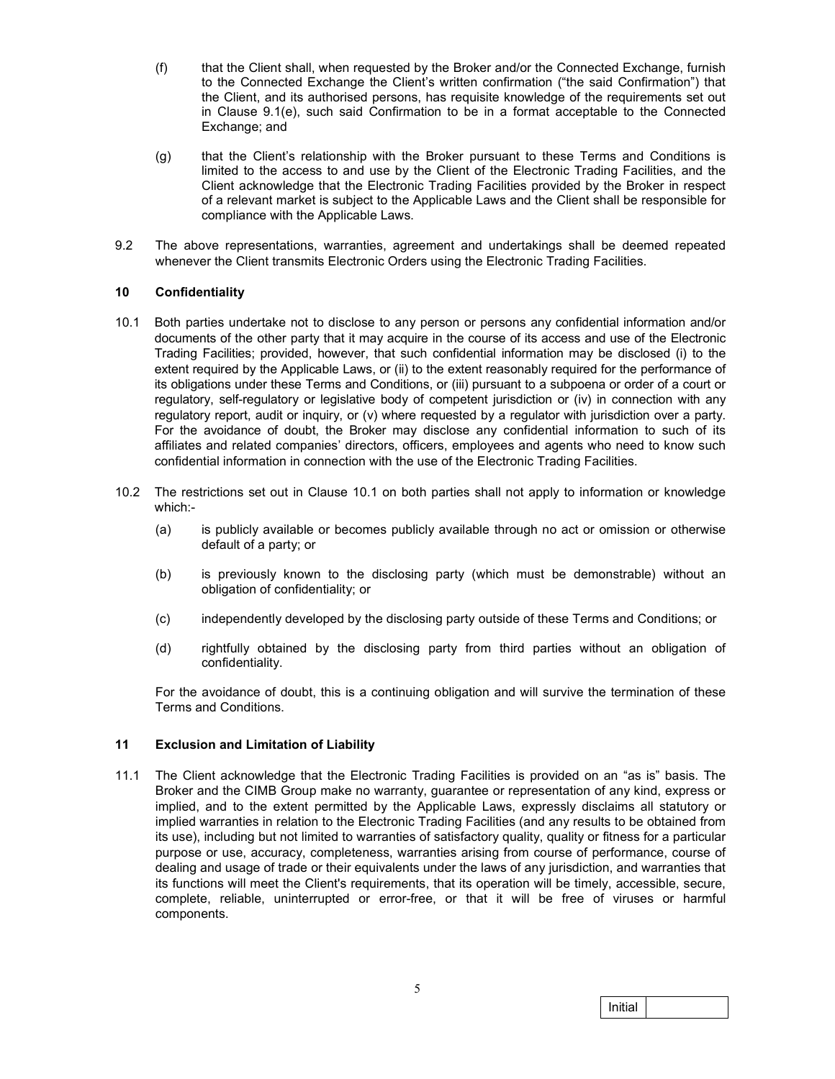- (f) that the Client shall, when requested by the Broker and/or the Connected Exchange, furnish to the Connected Exchange the Client's written confirmation ("the said Confirmation") that the Client, and its authorised persons, has requisite knowledge of the requirements set out in Clause 9.1(e), such said Confirmation to be in a format acceptable to the Connected Exchange; and
- (g) that the Client's relationship with the Broker pursuant to these Terms and Conditions is limited to the access to and use by the Client of the Electronic Trading Facilities, and the Client acknowledge that the Electronic Trading Facilities provided by the Broker in respect of a relevant market is subject to the Applicable Laws and the Client shall be responsible for compliance with the Applicable Laws.
- 9.2 The above representations, warranties, agreement and undertakings shall be deemed repeated whenever the Client transmits Electronic Orders using the Electronic Trading Facilities.

## 10 Confidentiality

- 10.1 Both parties undertake not to disclose to any person or persons any confidential information and/or documents of the other party that it may acquire in the course of its access and use of the Electronic Trading Facilities; provided, however, that such confidential information may be disclosed (i) to the extent required by the Applicable Laws, or (ii) to the extent reasonably required for the performance of its obligations under these Terms and Conditions, or (iii) pursuant to a subpoena or order of a court or regulatory, self-regulatory or legislative body of competent jurisdiction or (iv) in connection with any regulatory report, audit or inquiry, or (v) where requested by a regulator with jurisdiction over a party. For the avoidance of doubt, the Broker may disclose any confidential information to such of its affiliates and related companies' directors, officers, employees and agents who need to know such confidential information in connection with the use of the Electronic Trading Facilities.
- 10.2 The restrictions set out in Clause 10.1 on both parties shall not apply to information or knowledge which:-
	- (a) is publicly available or becomes publicly available through no act or omission or otherwise default of a party; or
	- (b) is previously known to the disclosing party (which must be demonstrable) without an obligation of confidentiality; or
	- (c) independently developed by the disclosing party outside of these Terms and Conditions; or
	- (d) rightfully obtained by the disclosing party from third parties without an obligation of confidentiality.

For the avoidance of doubt, this is a continuing obligation and will survive the termination of these Terms and Conditions.

#### 11 Exclusion and Limitation of Liability

11.1 The Client acknowledge that the Electronic Trading Facilities is provided on an "as is" basis. The Broker and the CIMB Group make no warranty, guarantee or representation of any kind, express or implied, and to the extent permitted by the Applicable Laws, expressly disclaims all statutory or implied warranties in relation to the Electronic Trading Facilities (and any results to be obtained from its use), including but not limited to warranties of satisfactory quality, quality or fitness for a particular purpose or use, accuracy, completeness, warranties arising from course of performance, course of dealing and usage of trade or their equivalents under the laws of any jurisdiction, and warranties that its functions will meet the Client's requirements, that its operation will be timely, accessible, secure, complete, reliable, uninterrupted or error-free, or that it will be free of viruses or harmful components.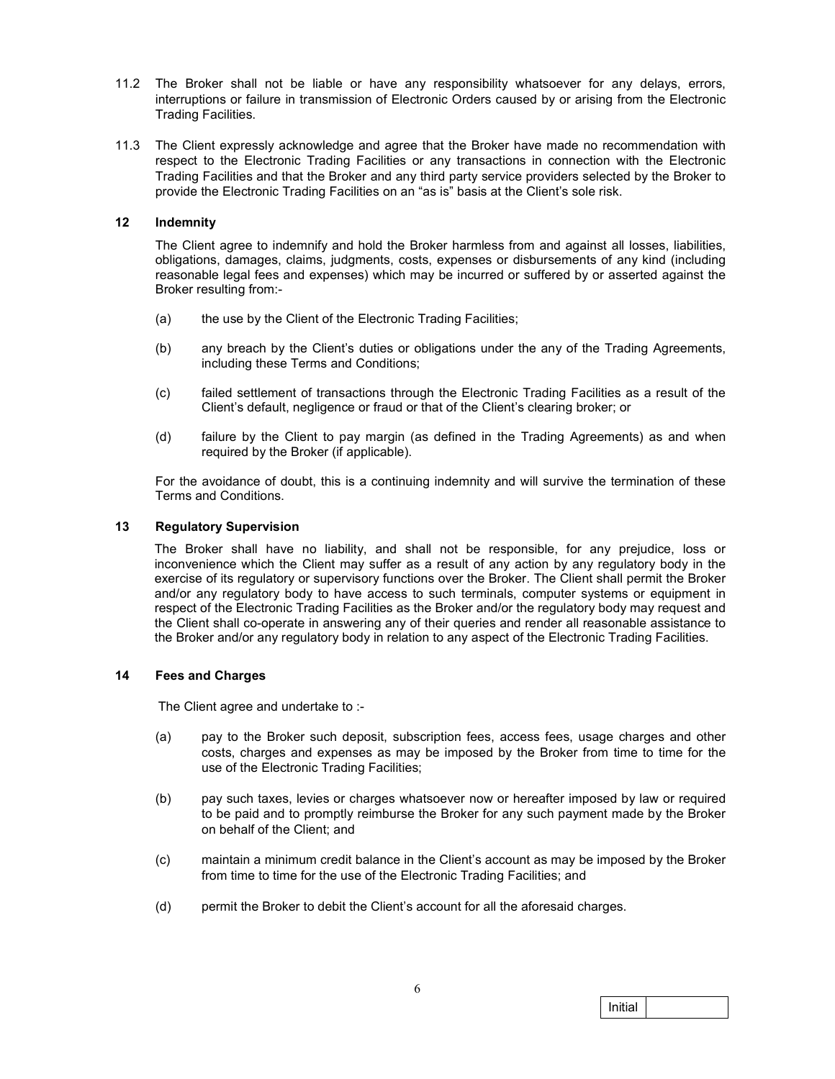- 11.2 The Broker shall not be liable or have any responsibility whatsoever for any delays, errors, interruptions or failure in transmission of Electronic Orders caused by or arising from the Electronic Trading Facilities.
- 11.3 The Client expressly acknowledge and agree that the Broker have made no recommendation with respect to the Electronic Trading Facilities or any transactions in connection with the Electronic Trading Facilities and that the Broker and any third party service providers selected by the Broker to provide the Electronic Trading Facilities on an "as is" basis at the Client's sole risk.

#### 12 Indemnity

The Client agree to indemnify and hold the Broker harmless from and against all losses, liabilities, obligations, damages, claims, judgments, costs, expenses or disbursements of any kind (including reasonable legal fees and expenses) which may be incurred or suffered by or asserted against the Broker resulting from:-

- (a) the use by the Client of the Electronic Trading Facilities;
- (b) any breach by the Client's duties or obligations under the any of the Trading Agreements, including these Terms and Conditions;
- (c) failed settlement of transactions through the Electronic Trading Facilities as a result of the Client's default, negligence or fraud or that of the Client's clearing broker; or
- (d) failure by the Client to pay margin (as defined in the Trading Agreements) as and when required by the Broker (if applicable).

For the avoidance of doubt, this is a continuing indemnity and will survive the termination of these Terms and Conditions.

## 13 Regulatory Supervision

The Broker shall have no liability, and shall not be responsible, for any prejudice, loss or inconvenience which the Client may suffer as a result of any action by any regulatory body in the exercise of its regulatory or supervisory functions over the Broker. The Client shall permit the Broker and/or any regulatory body to have access to such terminals, computer systems or equipment in respect of the Electronic Trading Facilities as the Broker and/or the regulatory body may request and the Client shall co-operate in answering any of their queries and render all reasonable assistance to the Broker and/or any regulatory body in relation to any aspect of the Electronic Trading Facilities.

#### 14 Fees and Charges

The Client agree and undertake to :-

- (a) pay to the Broker such deposit, subscription fees, access fees, usage charges and other costs, charges and expenses as may be imposed by the Broker from time to time for the use of the Electronic Trading Facilities;
- (b) pay such taxes, levies or charges whatsoever now or hereafter imposed by law or required to be paid and to promptly reimburse the Broker for any such payment made by the Broker on behalf of the Client; and
- (c) maintain a minimum credit balance in the Client's account as may be imposed by the Broker from time to time for the use of the Electronic Trading Facilities; and
- (d) permit the Broker to debit the Client's account for all the aforesaid charges.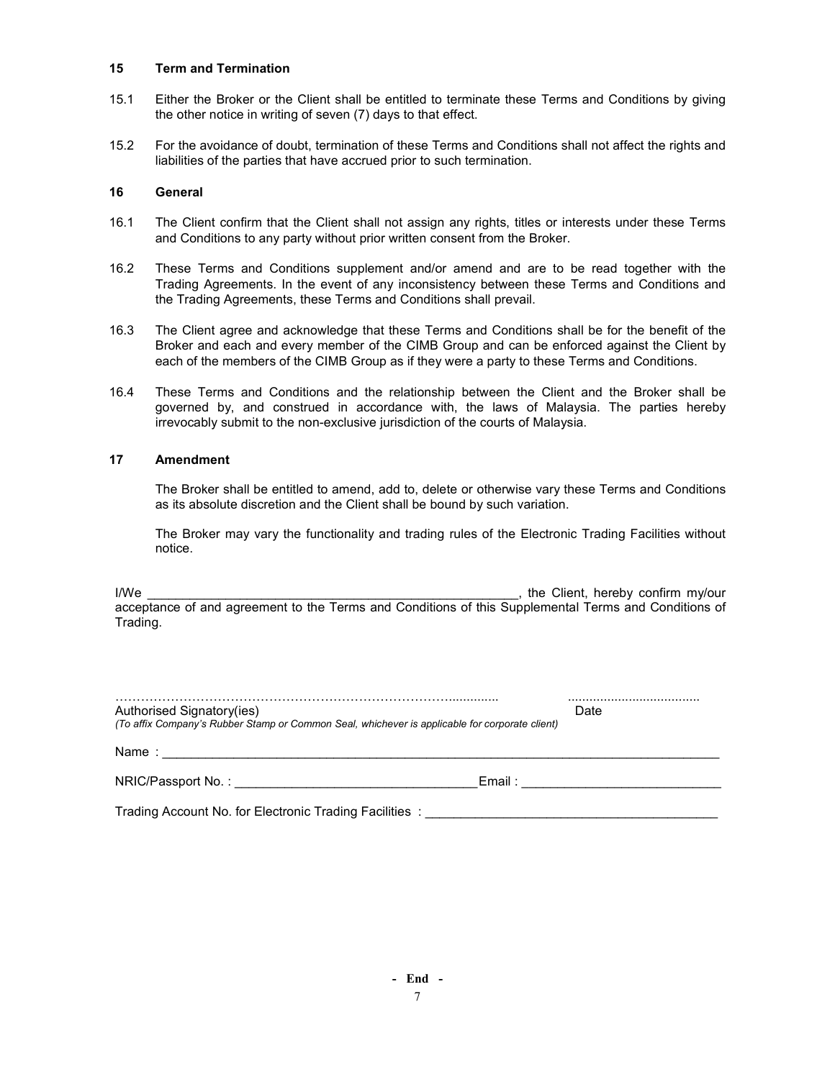#### 15 Term and Termination

- 15.1 Either the Broker or the Client shall be entitled to terminate these Terms and Conditions by giving the other notice in writing of seven (7) days to that effect.
- 15.2 For the avoidance of doubt, termination of these Terms and Conditions shall not affect the rights and liabilities of the parties that have accrued prior to such termination.

#### 16 General

- 16.1 The Client confirm that the Client shall not assign any rights, titles or interests under these Terms and Conditions to any party without prior written consent from the Broker.
- 16.2 These Terms and Conditions supplement and/or amend and are to be read together with the Trading Agreements. In the event of any inconsistency between these Terms and Conditions and the Trading Agreements, these Terms and Conditions shall prevail.
- 16.3 The Client agree and acknowledge that these Terms and Conditions shall be for the benefit of the Broker and each and every member of the CIMB Group and can be enforced against the Client by each of the members of the CIMB Group as if they were a party to these Terms and Conditions.
- 16.4 These Terms and Conditions and the relationship between the Client and the Broker shall be governed by, and construed in accordance with, the laws of Malaysia. The parties hereby irrevocably submit to the non-exclusive jurisdiction of the courts of Malaysia.

#### 17 Amendment

The Broker shall be entitled to amend, add to, delete or otherwise vary these Terms and Conditions as its absolute discretion and the Client shall be bound by such variation.

The Broker may vary the functionality and trading rules of the Electronic Trading Facilities without notice.

I/We **I/We I/We I/We I/We I/We I/We I/We I/We I/We I/We I/We I/We I/We I/We I/We I/We I/We I/We I/We I/We I/We I/We I/We I/We I/We I/We I/We I/We I/We I/We I/We** acceptance of and agreement to the Terms and Conditions of this Supplemental Terms and Conditions of Trading.

| Authorised Signatory(ies)<br>(To affix Company's Rubber Stamp or Common Seal, whichever is applicable for corporate client)                                                                                                    |           | Date |
|--------------------------------------------------------------------------------------------------------------------------------------------------------------------------------------------------------------------------------|-----------|------|
|                                                                                                                                                                                                                                |           |      |
| NRIC/Passport No.: The contract of the contract of the contract of the contract of the contract of the contract of the contract of the contract of the contract of the contract of the contract of the contract of the contrac | Email : - |      |
| Trading Account No. for Electronic Trading Facilities:                                                                                                                                                                         |           |      |